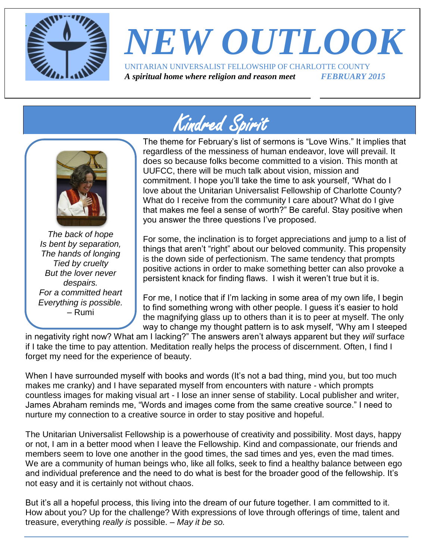

# *NEW OUTLOOK* UNITARIAN UNIVERSALIST FELLOWSHIP OF CHARLOTTE COUNTY

*A spiritual home where religion and reason meet FEBRUARY 2015*

# Kindred Spirit



*The back of hope Is bent by separation, The hands of longing Tied by cruelty But the lover never despairs. For a committed heart Everything is possible.*  – Rumi

The theme for February's list of sermons is "Love Wins." It implies that regardless of the messiness of human endeavor, love will prevail. It does so because folks become committed to a vision. This month at UUFCC, there will be much talk about vision, mission and commitment. I hope you'll take the time to ask yourself, "What do I love about the Unitarian Universalist Fellowship of Charlotte County? What do I receive from the community I care about? What do I give that makes me feel a sense of worth?" Be careful. Stay positive when you answer the three questions I've proposed.

For some, the inclination is to forget appreciations and jump to a list of things that aren't "right" about our beloved community. This propensity is the down side of perfectionism. The same tendency that prompts positive actions in order to make something better can also provoke a persistent knack for finding flaws. I wish it weren't true but it is.

For me, I notice that if I'm lacking in some area of my own life, I begin to find something wrong with other people. I guess it's easier to hold the magnifying glass up to others than it is to peer at myself. The only way to change my thought pattern is to ask myself, "Why am I steeped

in negativity right now? What am I lacking?" The answers aren't always apparent but they *will* surface if I take the time to pay attention. Meditation really helps the process of discernment. Often, I find I forget my need for the experience of beauty.

When I have surrounded myself with books and words (It's not a bad thing, mind you, but too much makes me cranky) and I have separated myself from encounters with nature - which prompts countless images for making visual art - I lose an inner sense of stability. Local publisher and writer, James Abraham reminds me, "Words and images come from the same creative source." I need to nurture my connection to a creative source in order to stay positive and hopeful.

The Unitarian Universalist Fellowship is a powerhouse of creativity and possibility. Most days, happy or not, I am in a better mood when I leave the Fellowship. Kind and compassionate, our friends and members seem to love one another in the good times, the sad times and yes, even the mad times. We are a community of human beings who, like all folks, seek to find a healthy balance between ego and individual preference and the need to do what is best for the broader good of the fellowship. It's not easy and it is certainly not without chaos.

But it's all a hopeful process, this living into the dream of our future together. I am committed to it. How about you? Up for the challenge? With expressions of love through offerings of time, talent and treasure, everything *really is* possible. – *May it be so.*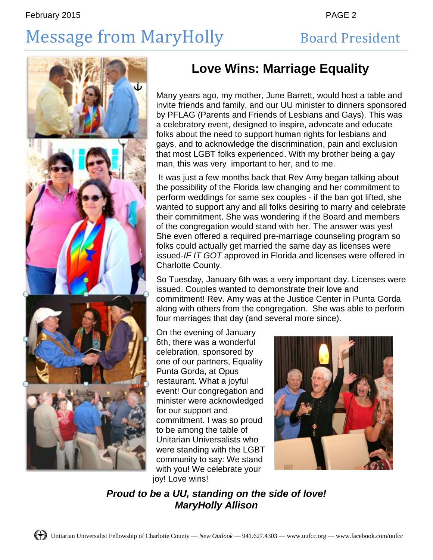# Message from MaryHolly Board President



## **Love Wins: Marriage Equality**

Many years ago, my mother, June Barrett, would host a table and invite friends and family, and our UU minister to dinners sponsored by PFLAG (Parents and Friends of Lesbians and Gays). This was a celebratory event, designed to inspire, advocate and educate folks about the need to support human rights for lesbians and gays, and to acknowledge the discrimination, pain and exclusion that most LGBT folks experienced. With my brother being a gay man, this was very important to her, and to me.

It was just a few months back that Rev Amy began talking about the possibility of the Florida law changing and her commitment to perform weddings for same sex couples - if the ban got lifted, she wanted to support any and all folks desiring to marry and celebrate their commitment. She was wondering if the Board and members of the congregation would stand with her. The answer was yes! She even offered a required pre-marriage counseling program so folks could actually get married the same day as licenses were issued-*IF IT GOT* approved in Florida and licenses were offered in Charlotte County.

So Tuesday, January 6th was a very important day. Licenses were issued. Couples wanted to demonstrate their love and commitment! Rev. Amy was at the Justice Center in Punta Gorda along with others from the congregation. She was able to perform four marriages that day (and several more since).

On the evening of January 6th, there was a wonderful celebration, sponsored by one of our partners, Equality Punta Gorda, at Opus restaurant. What a joyful event! Our congregation and minister were acknowledged for our support and commitment. I was so proud to be among the table of Unitarian Universalists who were standing with the LGBT community to say: We stand with you! We celebrate your joy! Love wins!



*Proud to be a UU, standing on the side of love! MaryHolly Allison*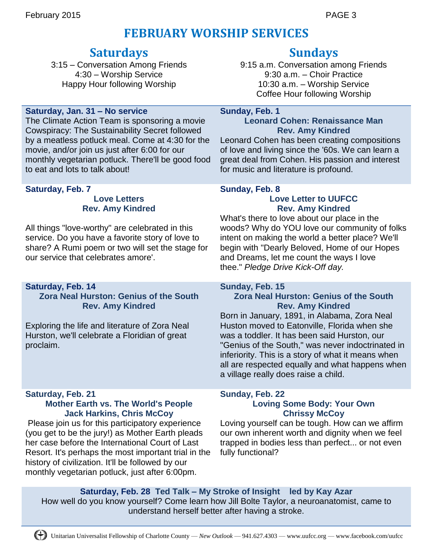## **FEBRUARY WORSHIP SERVICES**

## **Saturdays**

3:15 – Conversation Among Friends 4:30 – Worship Service Happy Hour following Worship

## **Saturday, Jan. 31 – No service**

The Climate Action Team is sponsoring a movie Cowspiracy: The Sustainability Secret followed by a meatless potluck meal. Come at 4:30 for the movie, and/or join us just after 6:00 for our monthly vegetarian potluck. There'll be good food to eat and lots to talk about!

### **Saturday, Feb. 7**

### **Love Letters Rev. Amy Kindred**

All things "love-worthy" are celebrated in this service. Do you have a favorite story of love to share? A Rumi poem or two will set the stage for our service that celebrates amore'.

## **Saturday, Feb. 14**

**Zora Neal Hurston: Genius of the South Rev. Amy Kindred**

Exploring the life and literature of Zora Neal Hurston, we'll celebrate a Floridian of great proclaim.

### **Saturday, Feb. 21 Mother Earth vs. The World's People Jack Harkins, Chris McCoy**

Please join us for this participatory experience (you get to be the jury!) as Mother Earth pleads her case before the International Court of Last Resort. It's perhaps the most important trial in the history of civilization. It'll be followed by our monthly vegetarian potluck, just after 6:00pm.

## **Sundays**

9:15 a.m. Conversation among Friends 9:30 a.m. – Choir Practice 10:30 a.m. – Worship Service Coffee Hour following Worship

### **Sunday, Feb. 1**

## **Leonard Cohen: Renaissance Man Rev. Amy Kindred**

Leonard Cohen has been creating compositions of love and living since the '60s. We can learn a great deal from Cohen. His passion and interest for music and literature is profound.

## **Sunday, Feb. 8 Love Letter to UUFCC**

## **Rev. Amy Kindred**

What's there to love about our place in the woods? Why do YOU love our community of folks intent on making the world a better place? We'll begin with "Dearly Beloved, Home of our Hopes and Dreams, let me count the ways I love thee." *Pledge Drive Kick-Off day.*

### **Sunday, Feb. 15**

## **Zora Neal Hurston: Genius of the South Rev. Amy Kindred**

Born in January, 1891, in Alabama, Zora Neal Huston moved to Eatonville, Florida when she was a toddler. It has been said Hurston, our "Genius of the South," was never indoctrinated in inferiority. This is a story of what it means when all are respected equally and what happens when a village really does raise a child.

### **Sunday, Feb. 22 Loving Some Body: Your Own Chrissy McCoy**

Loving yourself can be tough. How can we affirm our own inherent worth and dignity when we feel trapped in bodies less than perfect... or not even fully functional?

**Saturday, Feb. 28 Ted Talk – My Stroke of Insight led by Kay Azar** How well do you know yourself? Come learn how Jill Bolte Taylor, a neuroanatomist, came to understand herself better after having a stroke.

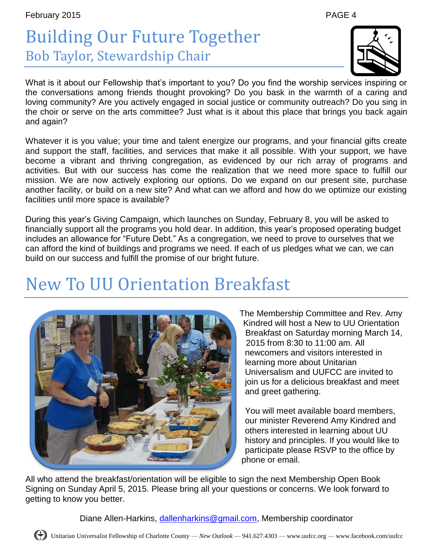# Building Our Future Together Bob Taylor, Stewardship Chair

What is it about our Fellowship that's important to you? Do you find the worship services inspiring or the conversations among friends thought provoking? Do you bask in the warmth of a caring and loving community? Are you actively engaged in social justice or community outreach? Do you sing in the choir or serve on the arts committee? Just what is it about this place that brings you back again and again?

Whatever it is you value; your time and talent energize our programs, and your financial gifts create and support the staff, facilities, and services that make it all possible. With your support, we have become a vibrant and thriving congregation, as evidenced by our rich array of programs and activities. But with our success has come the realization that we need more space to fulfill our mission. We are now actively exploring our options. Do we expand on our present site, purchase another facility, or build on a new site? And what can we afford and how do we optimize our existing facilities until more space is available?

During this year's Giving Campaign, which launches on Sunday, February 8, you will be asked to financially support all the programs you hold dear. In addition, this year's proposed operating budget includes an allowance for "Future Debt." As a congregation, we need to prove to ourselves that we can afford the kind of buildings and programs we need. If each of us pledges what we can, we can build on our success and fulfill the promise of our bright future.

# New To UU Orientation Breakfast

The Membership Committee and Rev. Amy Kindred will host a New to UU Orientation Breakfast on Saturday morning March 14, 2015 from 8:30 to 11:00 am. All newcomers and visitors interested in learning more about Unitarian Universalism and UUFCC are invited to join us for a delicious breakfast and meet and greet gathering.

You will meet available board members, our minister Reverend Amy Kindred and others interested in learning about UU history and principles. If you would like to participate please RSVP to the office by phone or email.

All who attend the breakfast/orientation will be eligible to sign the next Membership Open Book Signing on Sunday April 5, 2015. Please bring all your questions or concerns. We look forward to getting to know you better.

Diane Allen-Harkins, [dallenharkins@gmail.com,](mailto:dallenharkins@gmail.com) Membership coordinator



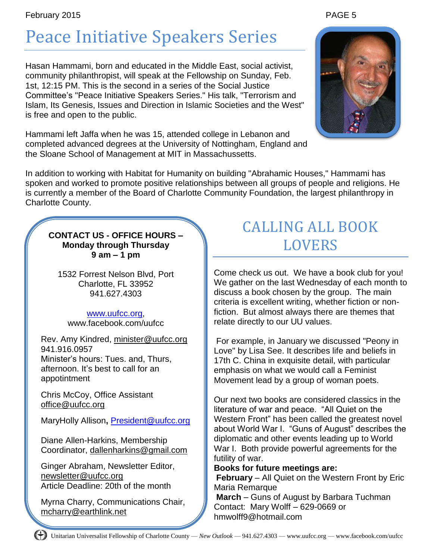# Peace Initiative Speakers Series

Hasan Hammami, born and educated in the Middle East, social activist, community philanthropist, will speak at the Fellowship on Sunday, Feb. 1st, 12:15 PM. This is the second in a series of the Social Justice Committee's "Peace Initiative Speakers Series." His talk, "Terrorism and Islam, Its Genesis, Issues and Direction in Islamic Societies and the West" is free and open to the public.

Hammami left Jaffa when he was 15, attended college in Lebanon and completed advanced degrees at the University of Nottingham, England and the Sloane School of Management at MIT in Massachussetts.

In addition to working with Habitat for Humanity on building "Abrahamic Houses," Hammami has spoken and worked to promote positive relationships between all groups of people and religions. He is currently a member of the Board of Charlotte Community Foundation, the largest philanthropy in Charlotte County.

**CONTACT US - OFFICE HOURS – Monday through Thursday 9 am – 1 pm**

1532 Forrest Nelson Blvd, Port Charlotte, FL 33952 941.627.4303

## [www.uufcc.org,](http://www.uufcc.org/)

www.facebook.com/uufcc

Rev. Amy Kindred, minister@uufcc.org 941.916.0957 Minister's hours: Tues. and, Thurs, afternoon. It's best to call for an appotintment

Chris McCoy, Office Assistant [office@uufcc.org](mailto:office@uufcc.org)

MaryHolly Allison**,** [President@uufcc.org](mailto:President@uufcc.org)

Diane Allen-Harkins, Membership Coordinator, dallenharkins@gmail.com

Ginger Abraham, Newsletter Editor, newsletter@uufcc.org Article Deadline: 20th of the month

Myrna Charry, Communications Chair, mcharry@earthlink.net

## CALLING ALL BOOK LOVERS

Come check us out. We have a book club for you! We gather on the last Wednesday of each month to discuss a book chosen by the group. The main criteria is excellent writing, whether fiction or nonfiction. But almost always there are themes that relate directly to our UU values.

For example, in January we discussed "Peony in Love" by Lisa See. It describes life and beliefs in 17th C. China in exquisite detail, with particular emphasis on what we would call a Feminist Movement lead by a group of woman poets.

Our next two books are considered classics in the literature of war and peace. "All Quiet on the Western Front" has been called the greatest novel about World War I. "Guns of August" describes the diplomatic and other events leading up to World War I. Both provide powerful agreements for the futility of war.

**Books for future meetings are:** 

**February** – All Quiet on the Western Front by Eric Maria Remarque

**March** – Guns of August by Barbara Tuchman Contact: Mary Wolff – 629-0669 or hmwolff9@hotmail.com

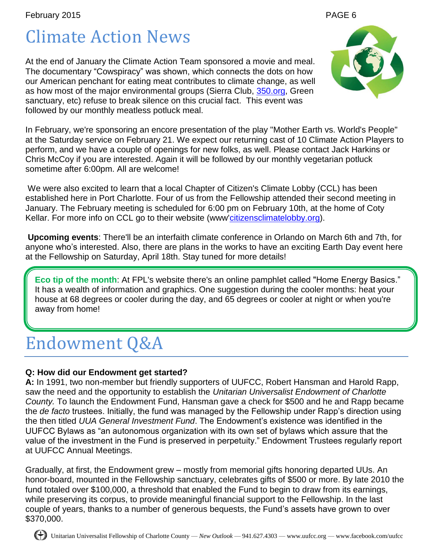# Climate Action News

At the end of January the Climate Action Team sponsored a movie and meal. The documentary "Cowspiracy" was shown, which connects the dots on how our American penchant for eating meat contributes to climate change, as well as how most of the major environmental groups (Sierra Club, [350.org,](http://350.org/) Green sanctuary, etc) refuse to break silence on this crucial fact. This event was followed by our monthly meatless potluck meal.



at the Saturday service on February 21. We expect our returning cast of 10 Climate Action Players to perform, and we have a couple of openings for new folks, as well. Please contact Jack Harkins or Chris McCoy if you are interested. Again it will be followed by our monthly vegetarian potluck sometime after 6:00pm. All are welcome!

We were also excited to learn that a local Chapter of Citizen's Climate Lobby (CCL) has been established here in Port Charlotte. Four of us from the Fellowship attended their second meeting in January. The February meeting is scheduled for 6:00 pm on February 10th, at the home of Coty Kellar. For more info on CCL go to their website (www['citizensclimatelobby.org\)](http://citizensclimatelobby.org/).

**Upcoming events**: There'll be an interfaith climate conference in Orlando on March 6th and 7th, for anyone who's interested. Also, there are plans in the works to have an exciting Earth Day event here at the Fellowship on Saturday, April 18th. Stay tuned for more details!

**Eco tip of the month**: At FPL's website there's an online pamphlet called "Home Energy Basics." It has a wealth of information and graphics. One suggestion during the cooler months: heat your house at 68 degrees or cooler during the day, and 65 degrees or cooler at night or when you're away from home!

# Endowment Q&A

## **Q: How did our Endowment get started?**

**A:** In 1991, two non-member but friendly supporters of UUFCC, Robert Hansman and Harold Rapp, saw the need and the opportunity to establish the *Unitarian Universalist Endowment of Charlotte County.* To launch the Endowment Fund, Hansman gave a check for \$500 and he and Rapp became the *de facto* trustees. Initially, the fund was managed by the Fellowship under Rapp's direction using the then titled *UUA General Investment Fund*. The Endowment's existence was identified in the UUFCC Bylaws as "an autonomous organization with its own set of bylaws which assure that the value of the investment in the Fund is preserved in perpetuity." Endowment Trustees regularly report at UUFCC Annual Meetings.

Gradually, at first, the Endowment grew – mostly from memorial gifts honoring departed UUs. An honor-board, mounted in the Fellowship sanctuary, celebrates gifts of \$500 or more. By late 2010 the fund totaled over \$100,000, a threshold that enabled the Fund to begin to draw from its earnings, while preserving its corpus, to provide meaningful financial support to the Fellowship. In the last couple of years, thanks to a number of generous bequests, the Fund's assets have grown to over \$370,000.

Unitarian Universalist Fellowship of Charlotte County — *New Outlook* — 941.627.4303 — www.uufcc.org — www.facebook.com/uufcc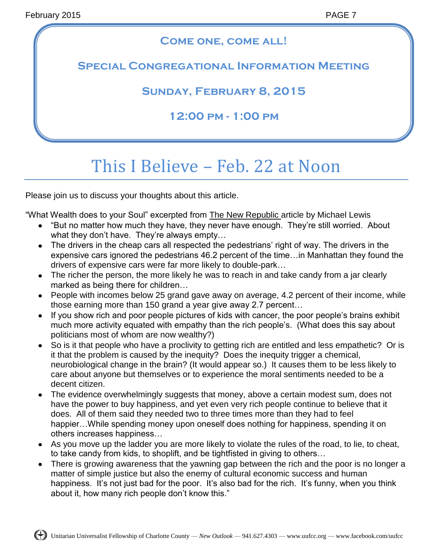## **Come one, come all!**

## **Special Congregational Information Meeting**

**Sunday, February 8, 2015**

**12:00 pm - 1:00 pm**

# This I Believe – Feb. 22 at Noon

Please join us to discuss your thoughts about this article.

"What Wealth does to your Soul" excerpted from The New Republic article by Michael Lewis

- "But no matter how much they have, they never have enough. They're still worried. About what they don't have. They're always empty…
- The drivers in the cheap cars all respected the pedestrians' right of way. The drivers in the expensive cars ignored the pedestrians 46.2 percent of the time…in Manhattan they found the drivers of expensive cars were far more likely to double-park…
- The richer the person, the more likely he was to reach in and take candy from a jar clearly marked as being there for children…
- People with incomes below 25 grand gave away on average, 4.2 percent of their income, while those earning more than 150 grand a year give away 2.7 percent…
- If you show rich and poor people pictures of kids with cancer, the poor people's brains exhibit much more activity equated with empathy than the rich people's. (What does this say about politicians most of whom are now wealthy?)
- So is it that people who have a proclivity to getting rich are entitled and less empathetic? Or is it that the problem is caused by the inequity? Does the inequity trigger a chemical, neurobiological change in the brain? (It would appear so.) It causes them to be less likely to care about anyone but themselves or to experience the moral sentiments needed to be a decent citizen.
- The evidence overwhelmingly suggests that money, above a certain modest sum, does not have the power to buy happiness, and yet even very rich people continue to believe that it does. All of them said they needed two to three times more than they had to feel happier...While spending money upon oneself does nothing for happiness, spending it on others increases happiness…
- As you move up the ladder you are more likely to violate the rules of the road, to lie, to cheat, to take candy from kids, to shoplift, and be tightfisted in giving to others…
- There is growing awareness that the yawning gap between the rich and the poor is no longer a matter of simple justice but also the enemy of cultural economic success and human happiness. It's not just bad for the poor. It's also bad for the rich. It's funny, when you think about it, how many rich people don't know this."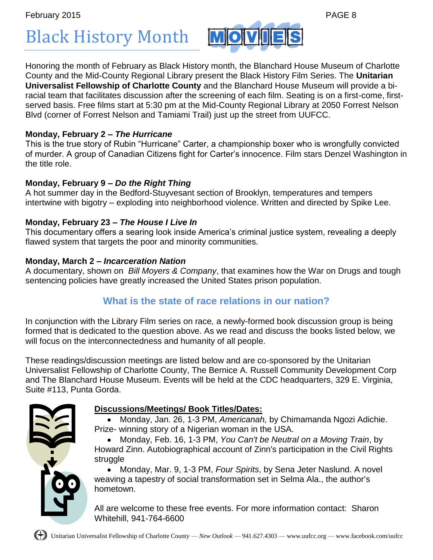Black History Month

Honoring the month of February as Black History month, the Blanchard House Museum of Charlotte County and the Mid-County Regional Library present the Black History Film Series. The **Unitarian Universalist Fellowship of Charlotte County** and the Blanchard House Museum will provide a biracial team that facilitates discussion after the screening of each film. Seating is on a first-come, firstserved basis. Free films start at 5:30 pm at the Mid-County Regional Library at 2050 Forrest Nelson Blvd (corner of Forrest Nelson and Tamiami Trail) just up the street from UUFCC.

**MO** 

## **Monday, February 2 –** *The Hurricane*

This is the true story of Rubin "Hurricane" Carter, a championship boxer who is wrongfully convicted of murder. A group of Canadian Citizens fight for Carter's innocence. Film stars Denzel Washington in the title role.

## **Monday, February 9 –** *Do the Right Thing*

A hot summer day in the Bedford-Stuyvesant section of Brooklyn, temperatures and tempers intertwine with bigotry – exploding into neighborhood violence. Written and directed by Spike Lee.

## **Monday, February 23 –** *The House I Live In*

This documentary offers a searing look inside America's criminal justice system, revealing a deeply flawed system that targets the poor and minority communities.

## **Monday, March 2 –** *Incarceration Nation*

A documentary, shown on *Bill Moyers & Company*, that examines how the War on Drugs and tough sentencing policies have greatly increased the United States prison population.

## **What is the state of race relations in our nation?**

In conjunction with the Library Film series on race*,* a newly-formed book discussion group is being formed that is dedicated to the question above. As we read and discuss the books listed below, we will focus on the interconnectedness and humanity of all people.

These readings/discussion meetings are listed below and are co-sponsored by the Unitarian Universalist Fellowship of Charlotte County, The Bernice A. Russell Community Development Corp and The Blanchard House Museum. Events will be held at the CDC headquarters, 329 E. Virginia, Suite #113, Punta Gorda.

## **Discussions/Meetings/ Book Titles/Dates:**

Monday, Jan. 26, 1-3 PM, *Americanah,* by Chimamanda Ngozi Adichie. Prize- winning story of a Nigerian woman in the USA.

Monday, Feb. 16, 1-3 PM, *You Can't be Neutral on a Moving Train*, by Howard Zinn. Autobiographical account of Zinn's participation in the Civil Rights struggle

Monday, Mar. 9, 1-3 PM, *Four Spirits*, by Sena Jeter Naslund. A novel weaving a tapestry of social transformation set in Selma Ala., the author's hometown.

All are welcome to these free events. For more information contact: Sharon Whitehill, 941-764-6600